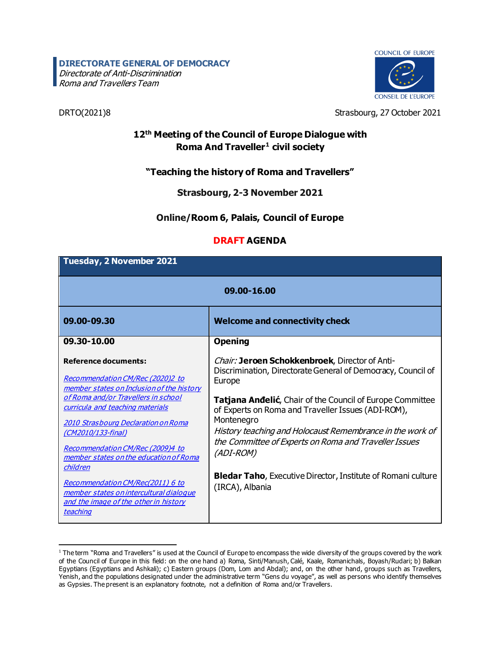# **DIRECTORATE GENERAL OF DEMOCRACY**

Directorate of Anti-Discrimination **Roma and Travellers Team** 



DRTO(2021)8 Strasbourg, 27 October 2021

## **12th Meeting of the Council of Europe Dialogue with Roma And Traveller[1](#page-0-0) civil society**

## **"Teaching the history of Roma and Travellers"**

#### **Strasbourg, 2-3 November 2021**

### **Online/Room 6, Palais, Council of Europe**

#### **DRAFT AGENDA**

| <b>Tuesday, 2 November 2021</b>                                                                                                                                                                                                                                                                                                                                                    |                                                                                                                                                                                                                                                                                                                                                                                                                                                                                               |
|------------------------------------------------------------------------------------------------------------------------------------------------------------------------------------------------------------------------------------------------------------------------------------------------------------------------------------------------------------------------------------|-----------------------------------------------------------------------------------------------------------------------------------------------------------------------------------------------------------------------------------------------------------------------------------------------------------------------------------------------------------------------------------------------------------------------------------------------------------------------------------------------|
| 09.00-16.00                                                                                                                                                                                                                                                                                                                                                                        |                                                                                                                                                                                                                                                                                                                                                                                                                                                                                               |
| 09.00-09.30                                                                                                                                                                                                                                                                                                                                                                        | <b>Welcome and connectivity check</b>                                                                                                                                                                                                                                                                                                                                                                                                                                                         |
| 09.30-10.00                                                                                                                                                                                                                                                                                                                                                                        | <b>Opening</b>                                                                                                                                                                                                                                                                                                                                                                                                                                                                                |
| <b>Reference documents:</b><br>Recommendation CM/Rec (2020)2 to<br>member states on Inclusion of the history<br>of Roma and/or Travellers in school<br>curricula and teaching materials<br>2010 Strasbourg Declaration on Roma<br>(CM2010/133-final)<br>Recommendation CM/Rec (2009)4 to<br>member states on the education of Roma<br>children<br>Recommendation CM/Rec(2011) 6 to | <i>Chair:</i> Jeroen Schokkenbroek, Director of Anti-<br>Discrimination, Directorate General of Democracy, Council of<br>Europe<br>Tatjana Anđelić, Chair of the Council of Europe Committee<br>of Experts on Roma and Traveller Issues (ADI-ROM),<br>Montenegro<br>History teaching and Holocaust Remembrance in the work of<br>the Committee of Experts on Roma and Traveller Issues<br>(ADI-ROM)<br><b>Bledar Taho, Executive Director, Institute of Romani culture</b><br>(IRCA), Albania |
| member states on intercultural dialogue<br>and the image of the other in history<br>teaching                                                                                                                                                                                                                                                                                       |                                                                                                                                                                                                                                                                                                                                                                                                                                                                                               |

<span id="page-0-0"></span><sup>1</sup> The term "Roma and Travellers" is used at the Council of Europe to encompass the wide diversity of the groups covered by the work of the Council of Europe in this field: on the one hand a) Roma, Sinti/Manush, Calé, Kaale, Romanichals, Boyash/Rudari; b) Balkan Egyptians (Egyptians and Ashkali); c) Eastern groups (Dom, Lom and Abdal); and, on the other hand, groups such as Travellers, Yenish, and the populations designated under the administrative term "Gens du voyage", as well as persons who identify themselves as Gypsies. The present is an explanatory footnote, not a definition of Roma and/or Travellers.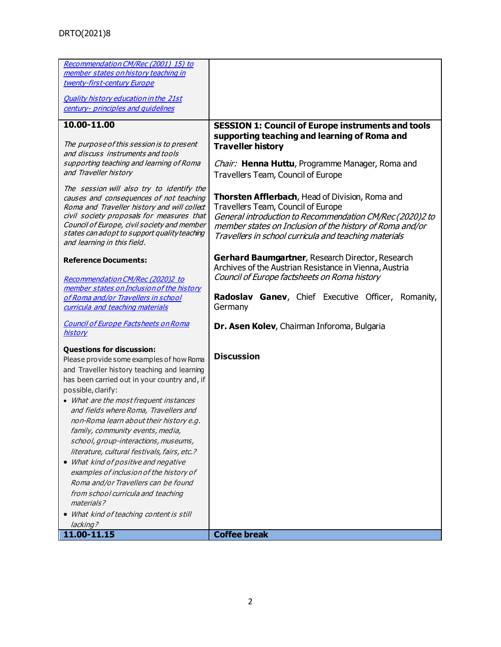| Recommendation CM/Rec (2001) 15) to                                                                                                                                                                                                                                                                                                                                                                                                                                                                                                                                                                                                                                                               |                                                                                                                                                                                                                                                                                |
|---------------------------------------------------------------------------------------------------------------------------------------------------------------------------------------------------------------------------------------------------------------------------------------------------------------------------------------------------------------------------------------------------------------------------------------------------------------------------------------------------------------------------------------------------------------------------------------------------------------------------------------------------------------------------------------------------|--------------------------------------------------------------------------------------------------------------------------------------------------------------------------------------------------------------------------------------------------------------------------------|
| member states on history teaching in                                                                                                                                                                                                                                                                                                                                                                                                                                                                                                                                                                                                                                                              |                                                                                                                                                                                                                                                                                |
| twenty-first-century Europe                                                                                                                                                                                                                                                                                                                                                                                                                                                                                                                                                                                                                                                                       |                                                                                                                                                                                                                                                                                |
|                                                                                                                                                                                                                                                                                                                                                                                                                                                                                                                                                                                                                                                                                                   |                                                                                                                                                                                                                                                                                |
| <b>Quality history education in the 21st</b>                                                                                                                                                                                                                                                                                                                                                                                                                                                                                                                                                                                                                                                      |                                                                                                                                                                                                                                                                                |
| century- principles and quidelines                                                                                                                                                                                                                                                                                                                                                                                                                                                                                                                                                                                                                                                                |                                                                                                                                                                                                                                                                                |
| 10.00-11.00                                                                                                                                                                                                                                                                                                                                                                                                                                                                                                                                                                                                                                                                                       | <b>SESSION 1: Council of Europe instruments and tools</b>                                                                                                                                                                                                                      |
| The purpose of this session is to present<br>and discuss instruments and tools<br>supporting teaching and learning of Roma                                                                                                                                                                                                                                                                                                                                                                                                                                                                                                                                                                        | supporting teaching and learning of Roma and<br><b>Traveller history</b><br>Chair: Henna Huttu, Programme Manager, Roma and                                                                                                                                                    |
| and Traveller history                                                                                                                                                                                                                                                                                                                                                                                                                                                                                                                                                                                                                                                                             | Travellers Team, Council of Europe                                                                                                                                                                                                                                             |
| The session will also try to identify the<br>causes and consequences of not teaching<br>Roma and Traveller history and will collect<br>civil society proposals for measures that<br>Council of Europe, civil society and member<br>states can adopt to support quality teaching<br>and learning in this field.                                                                                                                                                                                                                                                                                                                                                                                    | <b>Thorsten Afflerbach</b> , Head of Division, Roma and<br>Travellers Team, Council of Europe<br>General introduction to Recommendation CM/Rec (2020)2 to<br>member states on Inclusion of the history of Roma and/or<br>Travellers in school curricula and teaching materials |
| <b>Reference Documents:</b>                                                                                                                                                                                                                                                                                                                                                                                                                                                                                                                                                                                                                                                                       | Gerhard Baumgartner, Research Director, Research<br>Archives of the Austrian Resistance in Vienna, Austria                                                                                                                                                                     |
| Recommendation CM/Rec (2020)2 to<br>member states on Inclusion of the history<br>of Roma and/or Travellers in school<br>curricula and teaching materials                                                                                                                                                                                                                                                                                                                                                                                                                                                                                                                                          | Council of Europe factsheets on Roma history<br>Radoslav Ganev, Chief Executive Officer, Romanity,<br>Germany                                                                                                                                                                  |
| <b>Council of Europe Factsheets on Roma</b><br><b>history</b>                                                                                                                                                                                                                                                                                                                                                                                                                                                                                                                                                                                                                                     | Dr. Asen Kolev, Chairman Inforoma, Bulgaria                                                                                                                                                                                                                                    |
| <b>Questions for discussion:</b><br>Please provide some examples of how Roma<br>and Traveller history teaching and learning<br>has been carried out in your country and, if<br>possible, clarify:<br>• What are the most frequent instances<br>and fields where Roma, Travellers and<br>non-Roma learn about their history e.g.<br>family, community events, media,<br>school, group-interactions, museums,<br>literature, cultural festivals, fairs, etc.?<br>• What kind of positive and negative<br>examples of inclusion of the history of<br>Roma and/or Travellers can be found<br>from school curricula and teaching<br>materials?<br>• What kind of teaching content is still<br>lacking? | <b>Discussion</b>                                                                                                                                                                                                                                                              |
| 11.00-11.15                                                                                                                                                                                                                                                                                                                                                                                                                                                                                                                                                                                                                                                                                       | <b>Coffee break</b>                                                                                                                                                                                                                                                            |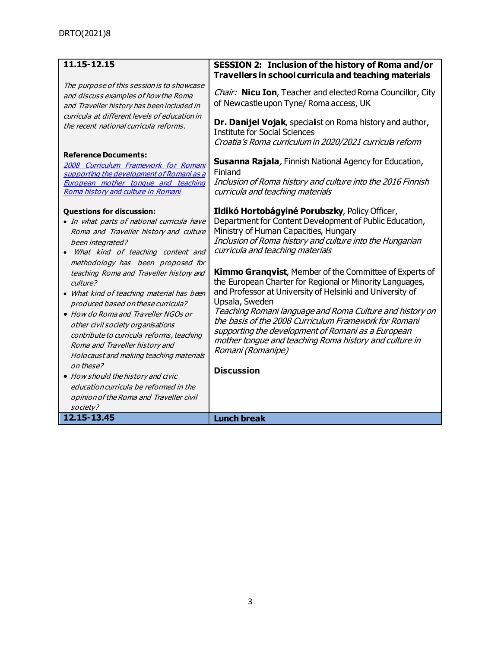| 11.15-12.15                                                                                                                                                                                                                                                                                                                                  | <b>SESSION 2: Inclusion of the history of Roma and/or</b>                                                                                                                                                                                                                                                                                                                                                                                                          |
|----------------------------------------------------------------------------------------------------------------------------------------------------------------------------------------------------------------------------------------------------------------------------------------------------------------------------------------------|--------------------------------------------------------------------------------------------------------------------------------------------------------------------------------------------------------------------------------------------------------------------------------------------------------------------------------------------------------------------------------------------------------------------------------------------------------------------|
|                                                                                                                                                                                                                                                                                                                                              | Travellers in school curricula and teaching materials                                                                                                                                                                                                                                                                                                                                                                                                              |
| The purpose of this session is to showcase<br>and discuss examples of how the Roma<br>and Traveller history has been included in<br>curricula at different levels of education in<br>the recent national curricula reforms.                                                                                                                  | Chair: Nicu Ion, Teacher and elected Roma Councillor, City<br>of Newcastle upon Tyne/ Roma access, UK<br>Dr. Danijel Vojak, specialist on Roma history and author,<br><b>Institute for Social Sciences</b><br>Croatia's Roma curriculum in 2020/2021 curricula reform                                                                                                                                                                                              |
| <b>Reference Documents:</b><br>2008 Curriculum Framework for Romani<br>supporting the development of Romani as a<br>European mother tongue and teaching<br>Roma history and culture in Romani                                                                                                                                                | <b>Susanna Rajala</b> , Finnish National Agency for Education,<br>Finland<br>Inclusion of Roma history and culture into the 2016 Finnish<br>curricula and teaching materials                                                                                                                                                                                                                                                                                       |
| <b>Questions for discussion:</b><br>· In what parts of national curricula have<br>Roma and Traveller history and culture<br>been integrated?<br>What kind of teaching content and<br>$\bullet$<br>methodology has been proposed for                                                                                                          | Ildikó Hortobágyiné Porubszky, Policy Officer,<br>Department for Content Development of Public Education,<br>Ministry of Human Capacities, Hungary<br>Inclusion of Roma history and culture into the Hungarian<br>curricula and teaching materials                                                                                                                                                                                                                 |
| teaching Roma and Traveller history and<br>culture?<br>• What kind of teaching material has been<br>produced based on these curricula?<br>• How do Roma and Traveller NGOs or<br>other civil society organisations<br>contribute to curricula reforms, teaching<br>Roma and Traveller history and<br>Holocaust and making teaching materials | <b>Kimmo Grangvist, Member of the Committee of Experts of</b><br>the European Charter for Regional or Minority Languages,<br>and Professor at University of Helsinki and University of<br>Upsala, Sweden<br>Teaching Romani language and Roma Culture and history on<br>the basis of the 2008 Curriculum Framework for Romani<br>supporting the development of Romani as a European<br>mother tongue and teaching Roma history and culture in<br>Romani (Romanipe) |
| on these?<br>• How should the history and civic<br>education curricula be reformed in the                                                                                                                                                                                                                                                    | <b>Discussion</b>                                                                                                                                                                                                                                                                                                                                                                                                                                                  |
| opinion of the Roma and Traveller civil<br>society?                                                                                                                                                                                                                                                                                          |                                                                                                                                                                                                                                                                                                                                                                                                                                                                    |
| 12.15-13.45                                                                                                                                                                                                                                                                                                                                  | <b>Lunch break</b>                                                                                                                                                                                                                                                                                                                                                                                                                                                 |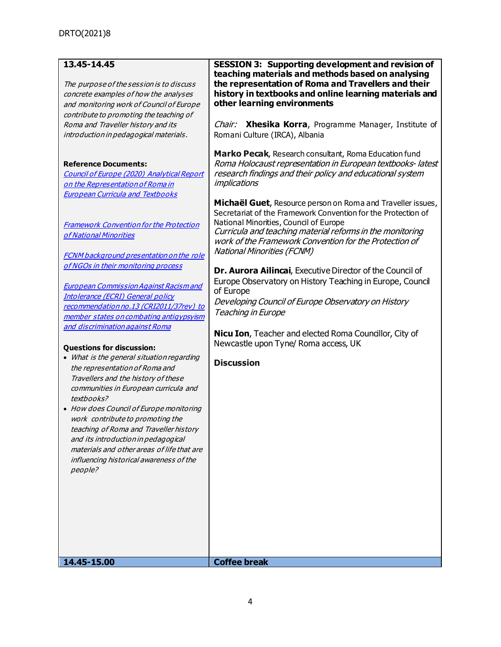| 13.45-14.45<br>The purpose of the session is to discuss<br>concrete examples of how the analyses<br>and monitoring work of Council of Europe<br>contribute to promoting the teaching of<br>Roma and Traveller history and its<br>introduction in pedagogical materials.<br><b>Reference Documents:</b><br>Council of Europe (2020) Analytical Report<br>on the Representation of Roma in<br><b>European Curricula and Textbooks</b>                                                                                                                                                                                                                                                                                                                                                                                                                                           | <b>SESSION 3: Supporting development and revision of</b><br>teaching materials and methods based on analysing<br>the representation of Roma and Travellers and their<br>history in textbooks and online learning materials and<br>other learning environments<br>Chair: Xhesika Korra, Programme Manager, Institute of<br>Romani Culture (IRCA), Albania<br>Marko Pecak, Research consultant, Roma Education fund<br>Roma Holocaust representation in European textbooks-latest<br>research findings and their policy and educational system<br>implications<br>Michaël Guet, Resource person on Roma and Traveller issues,<br>Secretariat of the Framework Convention for the Protection of |
|-------------------------------------------------------------------------------------------------------------------------------------------------------------------------------------------------------------------------------------------------------------------------------------------------------------------------------------------------------------------------------------------------------------------------------------------------------------------------------------------------------------------------------------------------------------------------------------------------------------------------------------------------------------------------------------------------------------------------------------------------------------------------------------------------------------------------------------------------------------------------------|----------------------------------------------------------------------------------------------------------------------------------------------------------------------------------------------------------------------------------------------------------------------------------------------------------------------------------------------------------------------------------------------------------------------------------------------------------------------------------------------------------------------------------------------------------------------------------------------------------------------------------------------------------------------------------------------|
| <b>Framework Convention for the Protection</b><br>of National Minorities<br><b>FCNM background presentation on the role</b><br>of NGOs in their monitoring process<br><b>European Commission Against Racism and</b><br><b>Intolerance (ECRI) General policy</b><br>recommendation no.13 (CRI2011/37rev) to<br>member states on combating antiqypsyism<br>and discrimination against Roma<br><b>Questions for discussion:</b><br>• What is the general situation regarding<br>the representation of Roma and<br>Travellers and the history of these<br>communities in European curricula and<br>textbooks?<br>• How does Council of Europe monitoring<br>work contribute to promoting the<br>teaching of Roma and Traveller history<br>and its introduction in pedagogical<br>materials and other areas of life that are<br>influencing historical awareness of the<br>people? | National Minorities, Council of Europe<br>Curricula and teaching material reforms in the monitoring<br>work of the Framework Convention for the Protection of<br><b>National Minorities (FCNM)</b><br>Dr. Aurora Ailincai, Executive Director of the Council of<br>Europe Observatory on History Teaching in Europe, Council<br>of Europe<br>Developing Council of Europe Observatory on History<br>Teaching in Europe<br>Nicu Ion, Teacher and elected Roma Councillor, City of<br>Newcastle upon Tyne/ Roma access, UK<br><b>Discussion</b>                                                                                                                                                |
| 14.45-15.00                                                                                                                                                                                                                                                                                                                                                                                                                                                                                                                                                                                                                                                                                                                                                                                                                                                                   | <b>Coffee break</b>                                                                                                                                                                                                                                                                                                                                                                                                                                                                                                                                                                                                                                                                          |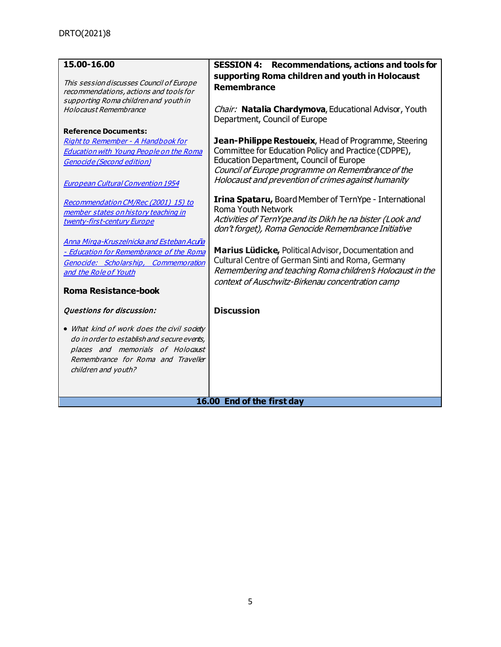| 15.00-16.00                                                                                                                 | Recommendations, actions and tools for<br><b>SESSION 4:</b>                            |
|-----------------------------------------------------------------------------------------------------------------------------|----------------------------------------------------------------------------------------|
| This session discusses Council of Europe<br>recommendations, actions and tools for<br>supporting Roma children and youth in | supporting Roma children and youth in Holocaust<br>Remembrance                         |
| Holocaust Remembrance                                                                                                       | Chair: Natalia Chardymova, Educational Advisor, Youth<br>Department, Council of Europe |
| <b>Reference Documents:</b>                                                                                                 |                                                                                        |
| Right to Remember - A Handbook for                                                                                          | Jean-Philippe Restoueix, Head of Programme, Steering                                   |
| <b>Education with Young People on the Roma</b>                                                                              | Committee for Education Policy and Practice (CDPPE),                                   |
| <b>Genocide (Second edition)</b>                                                                                            | Education Department, Council of Europe                                                |
|                                                                                                                             | Council of Europe programme on Remembrance of the                                      |
| <b>European Cultural Convention 1954</b>                                                                                    | Holocaust and prevention of crimes against humanity                                    |
| Recommendation CM/Rec (2001) 15) to                                                                                         | Irina Spataru, Board Member of TernYpe - International                                 |
| member states on history teaching in                                                                                        | <b>Roma Youth Network</b>                                                              |
| twenty-first-century Europe                                                                                                 | Activities of TernYpe and its Dikh he na bister (Look and                              |
|                                                                                                                             | don't forget), Roma Genocide Remembrance Initiative                                    |
| Anna Mirga-Kruszelnicka and Esteban Acuña                                                                                   |                                                                                        |
| - Education for Remembrance of the Roma                                                                                     | Marius Lüdicke, Political Advisor, Documentation and                                   |
| Genocide: Scholarship, Commemoration                                                                                        | Cultural Centre of German Sinti and Roma, Germany                                      |
| and the Role of Youth                                                                                                       | Remembering and teaching Roma children's Holocaust in the                              |
|                                                                                                                             | context of Auschwitz-Birkenau concentration camp                                       |
| <b>Roma Resistance-book</b>                                                                                                 |                                                                                        |
| Questions for discussion:                                                                                                   | <b>Discussion</b>                                                                      |
| • What kind of work does the civil society                                                                                  |                                                                                        |
| do in order to establish and secure events,                                                                                 |                                                                                        |
| places and memorials of Holocaust                                                                                           |                                                                                        |
| Remembrance for Roma and Traveller                                                                                          |                                                                                        |
| children and youth?                                                                                                         |                                                                                        |
|                                                                                                                             |                                                                                        |
|                                                                                                                             |                                                                                        |
|                                                                                                                             | 16.00 End of the first day                                                             |
|                                                                                                                             |                                                                                        |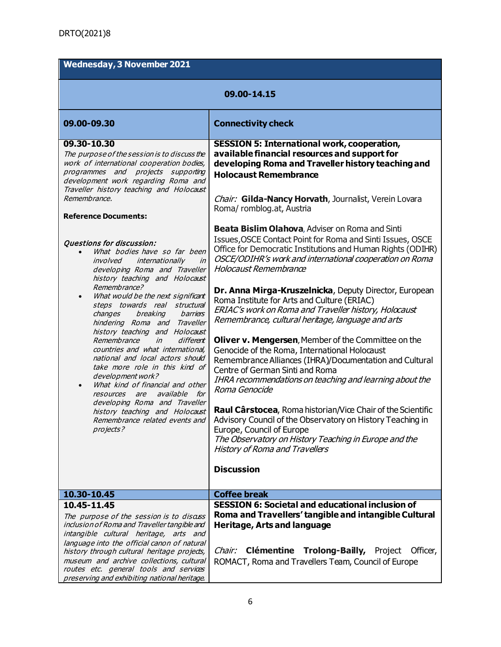| <b>Wednesday, 3 November 2021</b>                                                                                                                                                                                                                                                                                                                                                                                                                                                                                                                                                   |                                                                                                                                                                                                                                                                                       |
|-------------------------------------------------------------------------------------------------------------------------------------------------------------------------------------------------------------------------------------------------------------------------------------------------------------------------------------------------------------------------------------------------------------------------------------------------------------------------------------------------------------------------------------------------------------------------------------|---------------------------------------------------------------------------------------------------------------------------------------------------------------------------------------------------------------------------------------------------------------------------------------|
| 09.00-14.15                                                                                                                                                                                                                                                                                                                                                                                                                                                                                                                                                                         |                                                                                                                                                                                                                                                                                       |
| 09.00-09.30                                                                                                                                                                                                                                                                                                                                                                                                                                                                                                                                                                         | <b>Connectivity check</b>                                                                                                                                                                                                                                                             |
| 09.30-10.30<br>The purpose of the session is to discuss the<br>work of international cooperation bodies,<br>programmes and projects supporting<br>development work regarding Roma and<br>Traveller history teaching and Holocaust<br>Remembrance,                                                                                                                                                                                                                                                                                                                                   | <b>SESSION 5: International work, cooperation,</b><br>available financial resources and support for<br>developing Roma and Traveller history teaching and<br><b>Holocaust Remembrance</b><br>Chair: Gilda-Nancy Horvath, Journalist, Verein Lovara                                    |
| <b>Reference Documents:</b>                                                                                                                                                                                                                                                                                                                                                                                                                                                                                                                                                         | Roma/romblog.at, Austria                                                                                                                                                                                                                                                              |
| Questions for discussion:<br>What bodies have so far been<br>involved internationally<br>in<br>developing Roma and Traveller<br>history teaching and Holocaust                                                                                                                                                                                                                                                                                                                                                                                                                      | <b>Beata Bislim Olahova, Adviser on Roma and Sinti</b><br>Issues, OSCE Contact Point for Roma and Sinti Issues, OSCE<br>Office for Democratic Institutions and Human Rights (ODIHR)<br>OSCE/ODIHR's work and international cooperation on Roma<br>Holocaust Remembrance               |
| Remembrance?<br>What would be the next significant<br>$\bullet$<br>steps towards real structural<br>changes<br>breaking<br>barriers<br>hindering Roma and Traveller<br>history teaching and Holocaust<br>Remembrance<br>different<br>in<br>countries and what international,<br>national and local actors should<br>take more role in this kind of<br>development work?<br>What kind of financial and other<br>$\bullet$<br><i>available for</i><br>resources are<br>developing Roma and Traveller<br>history teaching and Holocaust<br>Remembrance related events and<br>projects? | Dr. Anna Mirga-Kruszelnicka, Deputy Director, European<br>Roma Institute for Arts and Culture (ERIAC)<br>ERIAC's work on Roma and Traveller history, Holocaust<br>Remembrance, cultural heritage, language and arts                                                                   |
|                                                                                                                                                                                                                                                                                                                                                                                                                                                                                                                                                                                     | <b>Oliver v. Mengersen, Member of the Committee on the</b><br>Genocide of the Roma, International Holocaust<br>Remembrance Alliances (IHRA)/Documentation and Cultural<br>Centre of German Sinti and Roma<br>IHRA recommendations on teaching and learning about the<br>Roma Genocide |
|                                                                                                                                                                                                                                                                                                                                                                                                                                                                                                                                                                                     | Raul Cârstocea, Roma historian/Vice Chair of the Scientific<br>Advisory Council of the Observatory on History Teaching in<br>Europe, Council of Europe<br>The Observatory on History Teaching in Europe and the<br><b>History of Roma and Travellers</b>                              |
|                                                                                                                                                                                                                                                                                                                                                                                                                                                                                                                                                                                     | <b>Discussion</b>                                                                                                                                                                                                                                                                     |
| 10.30-10.45                                                                                                                                                                                                                                                                                                                                                                                                                                                                                                                                                                         | <b>Coffee break</b>                                                                                                                                                                                                                                                                   |
| 10.45-11.45                                                                                                                                                                                                                                                                                                                                                                                                                                                                                                                                                                         | <b>SESSION 6: Societal and educational inclusion of</b>                                                                                                                                                                                                                               |
| The purpose of the session is to disars<br>inclusion of Roma and Traveller tangible and<br>intangible cultural heritage, arts and<br>language into the official canon of natural                                                                                                                                                                                                                                                                                                                                                                                                    | Roma and Travellers' tangible and intangible Cultural<br><b>Heritage, Arts and language</b>                                                                                                                                                                                           |
| history through cultural heritage projeds,<br>museum and archive collections, cultural<br>routes etc. general tools and services                                                                                                                                                                                                                                                                                                                                                                                                                                                    | <b>Clémentine</b><br><b>Trolong-Bailly, Project</b><br>Chair:<br>Officer,<br>ROMACT, Roma and Travellers Team, Council of Europe                                                                                                                                                      |
| preserving and exhibiting national heritage.                                                                                                                                                                                                                                                                                                                                                                                                                                                                                                                                        |                                                                                                                                                                                                                                                                                       |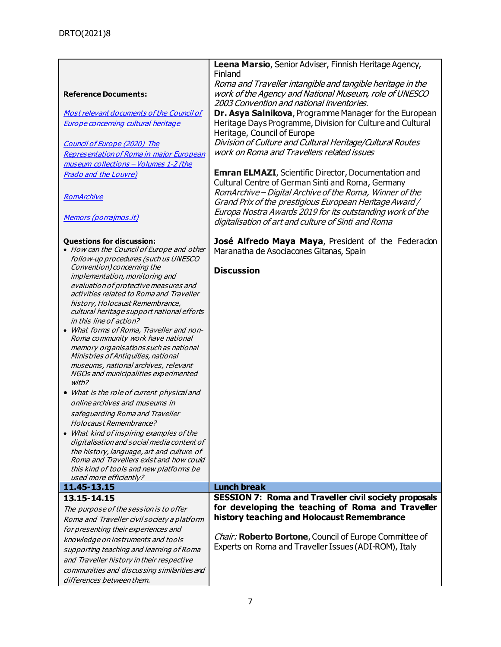|                                             | Leena Marsio, Senior Adviser, Finnish Heritage Agency,       |
|---------------------------------------------|--------------------------------------------------------------|
|                                             | Finland                                                      |
|                                             | Roma and Traveller intangible and tangible heritage in the   |
| <b>Reference Documents:</b>                 | work of the Agency and National Museum, role of UNESCO       |
|                                             | 2003 Convention and national inventories.                    |
| Most relevant documents of the Council of   | Dr. Asya Salnikova, Programme Manager for the European       |
|                                             |                                                              |
| Europe concerning cultural heritage         | Heritage Days Programme, Division for Culture and Cultural   |
|                                             | Heritage, Council of Europe                                  |
| Council of Europe (2020) The                | Division of Culture and Cultural Heritage/Cultural Routes    |
| Representation of Roma in major European    | work on Roma and Travellers related issues                   |
| museum collections - Volumes 1-2 (the       |                                                              |
| <b>Prado and the Louvre)</b>                | <b>Emran ELMAZI, Scientific Director, Documentation and</b>  |
|                                             | Cultural Centre of German Sinti and Roma, Germany            |
|                                             | RomArchive - Digital Archive of the Roma, Winner of the      |
| RomArchive                                  |                                                              |
|                                             | Grand Prix of the prestigious European Heritage Award /      |
| Memors (porrajmos.it)                       | Europa Nostra Awards 2019 for its outstanding work of the    |
|                                             | digitalisation of art and culture of Sinti and Roma          |
|                                             |                                                              |
| <b>Questions for discussion:</b>            | José Alfredo Maya Maya, President of the Federacion          |
| • How can the Council of Europe and other   | Maranatha de Asociacones Gitanas, Spain                      |
| follow-up procedures (such us UNESCO        |                                                              |
| Convention) concerning the                  | <b>Discussion</b>                                            |
| implementation, monitoring and              |                                                              |
| evaluation of protective measures and       |                                                              |
| activities related to Roma and Traveller    |                                                              |
| history, Holocaust Remembrance,             |                                                              |
| cultural heritage support national efforts  |                                                              |
| in this line of action?                     |                                                              |
| • What forms of Roma, Traveller and non-    |                                                              |
|                                             |                                                              |
|                                             |                                                              |
| Roma community work have national           |                                                              |
| memory organisations such as national       |                                                              |
| Ministries of Antiquities, national         |                                                              |
| museums, national archives, relevant        |                                                              |
| NGOs and municipalities experimented        |                                                              |
| with?                                       |                                                              |
| • What is the role of current physical and  |                                                              |
| online archives and museums in              |                                                              |
| safequarding Roma and Traveller             |                                                              |
| Holocaust Remembrance?                      |                                                              |
| • What kind of inspiring examples of the    |                                                              |
| digitalisation and social media content of  |                                                              |
| the history, language, art and culture of   |                                                              |
| Roma and Travellers exist and how could     |                                                              |
| this kind of tools and new platforms be     |                                                              |
| used more efficiently?                      |                                                              |
| 11.45-13.15                                 | <b>Lunch break</b>                                           |
| 13.15-14.15                                 | <b>SESSION 7: Roma and Traveller civil society proposals</b> |
|                                             | for developing the teaching of Roma and Traveller            |
| The purpose of the session is to offer      |                                                              |
| Roma and Traveller civil society a platform | history teaching and Holocaust Remembrance                   |
| for presenting their experiences and        |                                                              |
| knowledge on instruments and tools          | Chair: Roberto Bortone, Council of Europe Committee of       |
| supporting teaching and learning of Roma    | Experts on Roma and Traveller Issues (ADI-ROM), Italy        |
| and Traveller history in their respective   |                                                              |
| communities and discussing similarities and |                                                              |